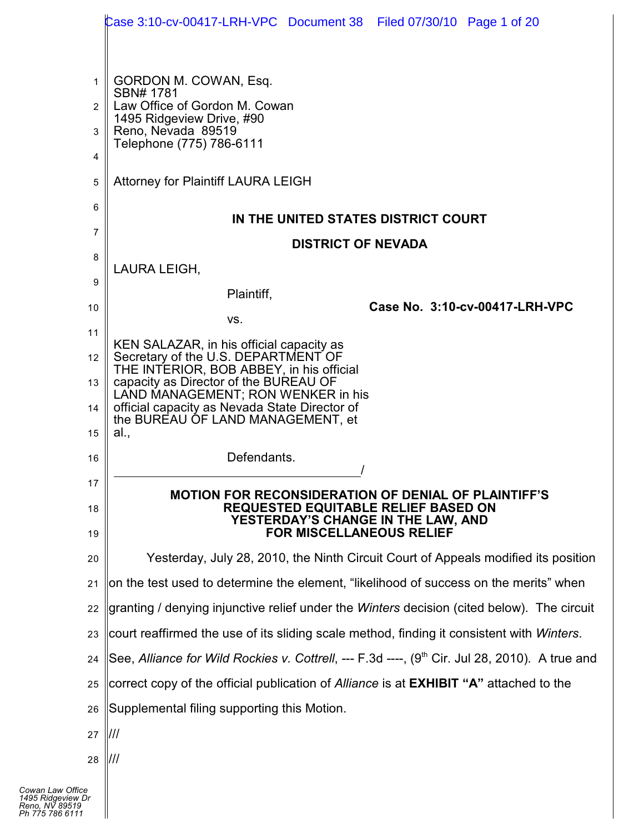|                | Case 3:10-cv-00417-LRH-VPC Document 38 Filed 07/30/10 Page 1 of 20                                |  |  |  |  |  |  |  |  |
|----------------|---------------------------------------------------------------------------------------------------|--|--|--|--|--|--|--|--|
|                |                                                                                                   |  |  |  |  |  |  |  |  |
| 1              | GORDON M. COWAN, Esq.                                                                             |  |  |  |  |  |  |  |  |
| $\overline{2}$ | SBN# 1781<br>Law Office of Gordon M. Cowan                                                        |  |  |  |  |  |  |  |  |
| 3              | 1495 Ridgeview Drive, #90<br>Reno, Nevada 89519                                                   |  |  |  |  |  |  |  |  |
| 4              | Telephone (775) 786-6111                                                                          |  |  |  |  |  |  |  |  |
| 5              | <b>Attorney for Plaintiff LAURA LEIGH</b>                                                         |  |  |  |  |  |  |  |  |
| 6              | IN THE UNITED STATES DISTRICT COURT                                                               |  |  |  |  |  |  |  |  |
| 7              | <b>DISTRICT OF NEVADA</b>                                                                         |  |  |  |  |  |  |  |  |
| 8              | LAURA LEIGH,                                                                                      |  |  |  |  |  |  |  |  |
| 9              | Plaintiff,                                                                                        |  |  |  |  |  |  |  |  |
| 10             | Case No. 3:10-cv-00417-LRH-VPC<br>VS.                                                             |  |  |  |  |  |  |  |  |
| 11             | KEN SALAZAR, in his official capacity as                                                          |  |  |  |  |  |  |  |  |
| 12             | Secretary of the U.S. DEPARTMENT OF<br>THE INTERIOR, BOB ABBEY, in his official                   |  |  |  |  |  |  |  |  |
| 13             | capacity as Director of the BUREAU OF<br>LAND MANAGEMENT; RON WENKER in his                       |  |  |  |  |  |  |  |  |
| 14             | official capacity as Nevada State Director of<br>the BUREAU OF LAND MANAGEMENT, et                |  |  |  |  |  |  |  |  |
| 15             | al.,                                                                                              |  |  |  |  |  |  |  |  |
| 16             | Defendants.                                                                                       |  |  |  |  |  |  |  |  |
| 17             | <b>MOTION FOR RECONSIDERATION OF DENIAL OF PLAINTIFF'S</b>                                        |  |  |  |  |  |  |  |  |
| 18             | <b>REQUESTED EQUITABLE RELIEF BASED ON</b><br>YESTERDAY'S CHANGE IN THE LAW, AND                  |  |  |  |  |  |  |  |  |
| 19             | <b>FOR MISCELLANEOUS RELIEF</b>                                                                   |  |  |  |  |  |  |  |  |
| 20             | Yesterday, July 28, 2010, the Ninth Circuit Court of Appeals modified its position                |  |  |  |  |  |  |  |  |
| 21             | on the test used to determine the element, "likelihood of success on the merits" when             |  |  |  |  |  |  |  |  |
| 22             | granting / denying injunctive relief under the Winters decision (cited below). The circuit        |  |  |  |  |  |  |  |  |
| 23             | court reaffirmed the use of its sliding scale method, finding it consistent with <i>Winters</i> . |  |  |  |  |  |  |  |  |
| 24             | See, Alliance for Wild Rockies v. Cottrell, --- F.3d ----, (9th Cir. Jul 28, 2010). A true and    |  |  |  |  |  |  |  |  |
| 25             | correct copy of the official publication of Alliance is at <b>EXHIBIT "A"</b> attached to the     |  |  |  |  |  |  |  |  |
| 26             | Supplemental filing supporting this Motion.                                                       |  |  |  |  |  |  |  |  |
| 27             | ///                                                                                               |  |  |  |  |  |  |  |  |
| 28             | ///                                                                                               |  |  |  |  |  |  |  |  |
| e<br>Dr        |                                                                                                   |  |  |  |  |  |  |  |  |
|                |                                                                                                   |  |  |  |  |  |  |  |  |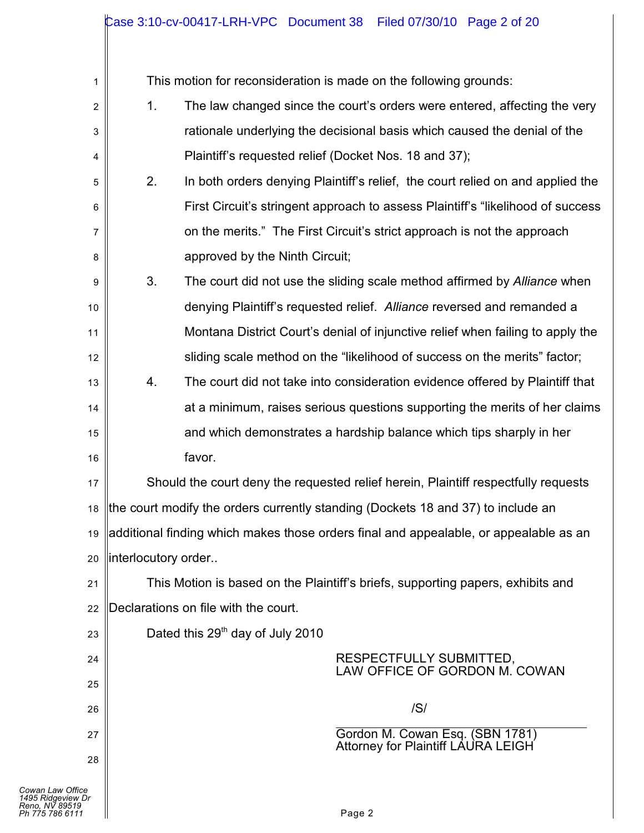| 1                                                                          | This motion for reconsideration is made on the following grounds:                           |
|----------------------------------------------------------------------------|---------------------------------------------------------------------------------------------|
| 2                                                                          | 1 <sub>1</sub><br>The law changed since the court's orders were entered, affecting the very |
| 3                                                                          | rationale underlying the decisional basis which caused the denial of the                    |
| 4                                                                          | Plaintiff's requested relief (Docket Nos. 18 and 37);                                       |
| 5                                                                          | 2.<br>In both orders denying Plaintiff's relief, the court relied on and applied the        |
| 6                                                                          | First Circuit's stringent approach to assess Plaintiff's "likelihood of success"            |
| 7                                                                          | on the merits." The First Circuit's strict approach is not the approach                     |
| 8                                                                          | approved by the Ninth Circuit;                                                              |
| 9                                                                          | 3.<br>The court did not use the sliding scale method affirmed by Alliance when              |
| 10                                                                         | denying Plaintiff's requested relief. Alliance reversed and remanded a                      |
| 11                                                                         | Montana District Court's denial of injunctive relief when failing to apply the              |
| 12                                                                         | sliding scale method on the "likelihood of success on the merits" factor;                   |
| 13                                                                         | The court did not take into consideration evidence offered by Plaintiff that<br>4.          |
| 14                                                                         | at a minimum, raises serious questions supporting the merits of her claims                  |
| 15                                                                         | and which demonstrates a hardship balance which tips sharply in her                         |
| 16                                                                         | favor.                                                                                      |
| 17                                                                         | Should the court deny the requested relief herein, Plaintiff respectfully requests          |
| 18                                                                         | the court modify the orders currently standing (Dockets 18 and 37) to include an            |
| 19                                                                         | additional finding which makes those orders final and appealable, or appealable as an       |
| 20                                                                         | linterlocutory order                                                                        |
| 21                                                                         | This Motion is based on the Plaintiff's briefs, supporting papers, exhibits and             |
| 22                                                                         | Declarations on file with the court.                                                        |
| 23                                                                         | Dated this 29 <sup>th</sup> day of July 2010                                                |
| 24                                                                         | RESPECTFULLY SUBMITTED,<br>LAW OFFICE OF GORDON M. COWAN                                    |
| 25                                                                         |                                                                                             |
| 26                                                                         | /S/                                                                                         |
| 27                                                                         | Gordon M. Cowan Esq. (SBN 1781)<br><b>Attorney for Plaintiff LAURA LEIGH</b>                |
| 28                                                                         |                                                                                             |
| Cowan Law Office<br>1495 Ridgeview Dr<br>Reno, NV 89519<br>Ph 775 786 6111 | Page 2                                                                                      |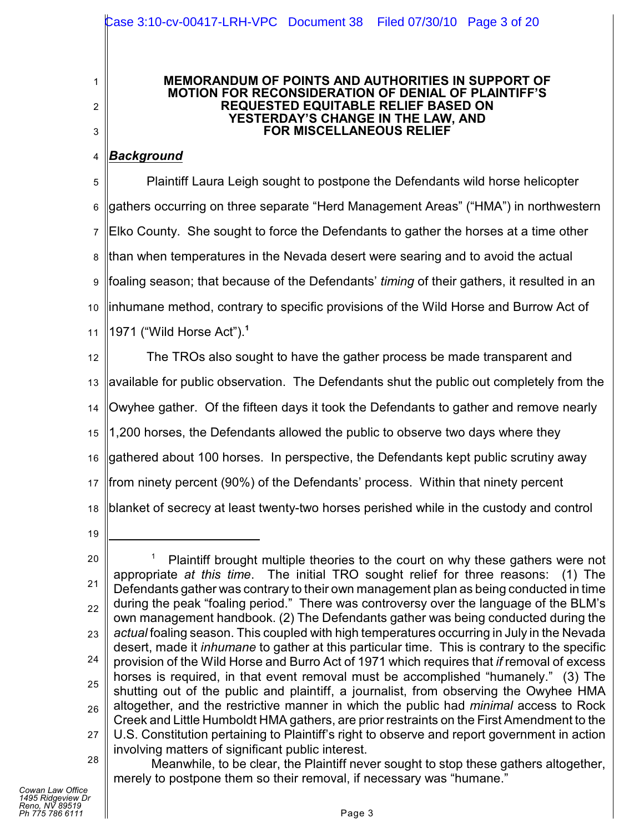### **MEMORANDUM OF POINTS AND AUTHORITIES IN SUPPORT OF MOTION FOR RECONSIDERATION OF DENIAL OF PLAINTIFF'S REQUESTED EQUITABLE RELIEF BASED ON YESTERDAY'S CHANGE IN THE LAW, AND FOR MISCELLANEOUS RELIEF**

#### 4 *Background*

1

2

3

5 6 7 8 9 10 11 Plaintiff Laura Leigh sought to postpone the Defendants wild horse helicopter gathers occurring on three separate "Herd Management Areas" ("HMA") in northwestern Elko County. She sought to force the Defendants to gather the horses at a time other than when temperatures in the Nevada desert were searing and to avoid the actual foaling season; that because of the Defendants' *timing* of their gathers, it resulted in an inhumane method, contrary to specific provisions of the Wild Horse and Burrow Act of 1971 ("Wild Horse Act"). **1**

12 13 14 15 16 17 18 The TROs also sought to have the gather process be made transparent and available for public observation. The Defendants shut the public out completely from the Owyhee gather. Of the fifteen days it took the Defendants to gather and remove nearly 1,200 horses, the Defendants allowed the public to observe two days where they gathered about 100 horses. In perspective, the Defendants kept public scrutiny away from ninety percent (90%) of the Defendants' process. Within that ninety percent blanket of secrecy at least twenty-two horses perished while in the custody and control

19

<sup>20</sup> 21 22 23 24 25 26 27 28 Plaintiff brought multiple theories to the court on why these gathers were not appropriate *at this time*. The initial TRO sought relief for three reasons: (1) The Defendants gather was contrary to their own management plan as being conducted in time during the peak "foaling period." There was controversy over the language of the BLM's own management handbook. (2) The Defendants gather was being conducted during the *actual* foaling season. This coupled with high temperatures occurring in July in the Nevada desert, made it *inhumane* to gather at this particular time. This is contrary to the specific provision of the Wild Horse and Burro Act of 1971 which requires that *if* removal of excess horses is required, in that event removal must be accomplished "humanely." (3) The shutting out of the public and plaintiff, a journalist, from observing the Owyhee HMA altogether, and the restrictive manner in which the public had *minimal* access to Rock Creek and Little Humboldt HMA gathers, are prior restraints on the First Amendment to the U.S. Constitution pertaining to Plaintiff's right to observe and report government in action involving matters of significant public interest.

Meanwhile, to be clear, the Plaintiff never sought to stop these gathers altogether, merely to postpone them so their removal, if necessary was "humane."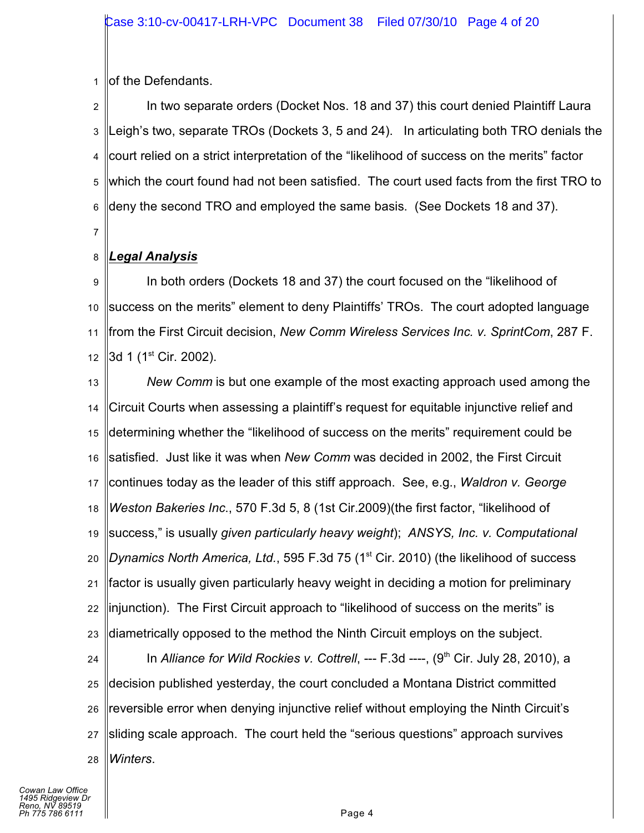1 of the Defendants.

2 3 4 5 6 In two separate orders (Docket Nos. 18 and 37) this court denied Plaintiff Laura Leigh's two, separate TROs (Dockets 3, 5 and 24). In articulating both TRO denials the court relied on a strict interpretation of the "likelihood of success on the merits" factor which the court found had not been satisfied. The court used facts from the first TRO to deny the second TRO and employed the same basis. (See Dockets 18 and 37).

7

#### 8 *Legal Analysis*

9 10 11 12 In both orders (Dockets 18 and 37) the court focused on the "likelihood of success on the merits" element to deny Plaintiffs' TROs. The court adopted language from the First Circuit decision, *New Comm Wireless Services Inc. v. SprintCom*, 287 F. 3d 1 (1<sup>st</sup> Cir. 2002).

13 14 15 16 17 18 19 20 21 22 23 *New Comm* is but one example of the most exacting approach used among the Circuit Courts when assessing a plaintiff's request for equitable injunctive relief and determining whether the "likelihood of success on the merits" requirement could be satisfied. Just like it was when *New Comm* was decided in 2002, the First Circuit continues today as the leader of this stiff approach. See, e.g., *Waldron v. George Weston Bakeries Inc*., 570 F.3d 5, 8 (1st Cir.2009)(the first factor, "likelihood of success," is usually *given particularly heavy weight*); *ANSYS, Inc. v. Computational* Dynamics North America, Ltd., 595 F.3d 75 (1<sup>st</sup> Cir. 2010) (the likelihood of success factor is usually given particularly heavy weight in deciding a motion for preliminary injunction). The First Circuit approach to "likelihood of success on the merits" is diametrically opposed to the method the Ninth Circuit employs on the subject.

24 25 26 27 28 In *Alliance for Wild Rockies v. Cottrell*, --- F.3d ----, (9<sup>th</sup> Cir. July 28, 2010), a decision published yesterday, the court concluded a Montana District committed reversible error when denying injunctive relief without employing the Ninth Circuit's sliding scale approach. The court held the "serious questions" approach survives *Winters*.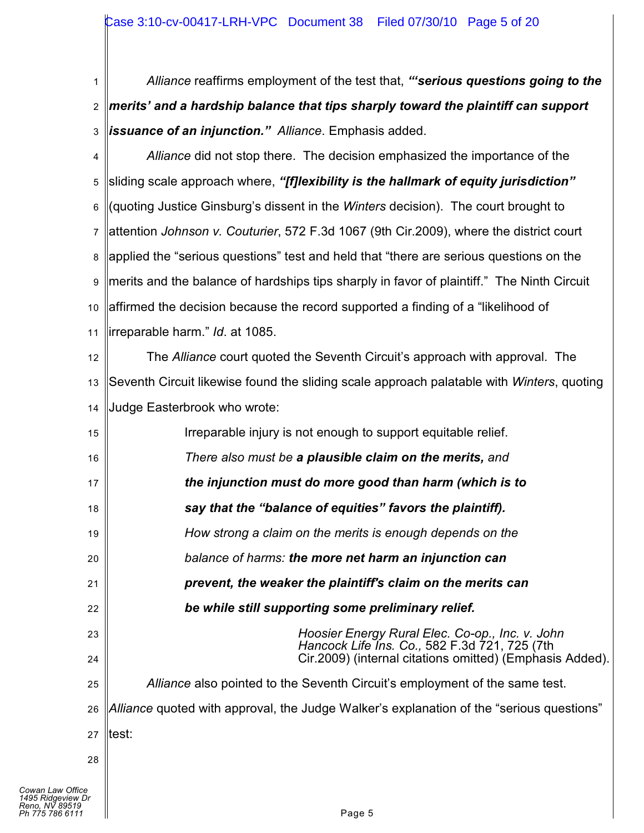1 2 3 *Alliance* reaffirms employment of the test that, *"'serious questions going to the merits' and a hardship balance that tips sharply toward the plaintiff can support issuance of an injunction." Alliance*. Emphasis added.

4 5 6 7 8 9 10 11 *Alliance* did not stop there. The decision emphasized the importance of the sliding scale approach where, *"[f]lexibility is the hallmark of equity jurisdiction"* (quoting Justice Ginsburg's dissent in the *Winters* decision). The court brought to attention *Johnson v. Couturier*, 572 F.3d 1067 (9th Cir.2009), where the district court applied the "serious questions" test and held that "there are serious questions on the merits and the balance of hardships tips sharply in favor of plaintiff." The Ninth Circuit affirmed the decision because the record supported a finding of a "likelihood of irreparable harm." *Id*. at 1085.

12 13 14 The *Alliance* court quoted the Seventh Circuit's approach with approval. The Seventh Circuit likewise found the sliding scale approach palatable with *Winters*, quoting Judge Easterbrook who wrote:

| 15 | Irreparable injury is not enough to support equitable relief.                            |
|----|------------------------------------------------------------------------------------------|
| 16 | There also must be a plausible claim on the merits, and                                  |
| 17 | the injunction must do more good than harm (which is to                                  |
| 18 | say that the "balance of equities" favors the plaintiff).                                |
| 19 | How strong a claim on the merits is enough depends on the                                |
| 20 | balance of harms: the more net harm an injunction can                                    |
| 21 | prevent, the weaker the plaintiff's claim on the merits can                              |
| 22 | be while still supporting some preliminary relief.                                       |
| 23 | Hoosier Energy Rural Elec. Co-op., Inc. v. John                                          |
| 24 | Cir. 2009) (internal citations omitted) (Emphasis Added).                                |
| 25 | Alliance also pointed to the Seventh Circuit's employment of the same test.              |
| 26 | Alliance quoted with approval, the Judge Walker's explanation of the "serious questions" |
| 27 | ltest:                                                                                   |
| 28 |                                                                                          |
|    | Hancock Life Ins. Co., 582 F.3d 721, 725 (7th                                            |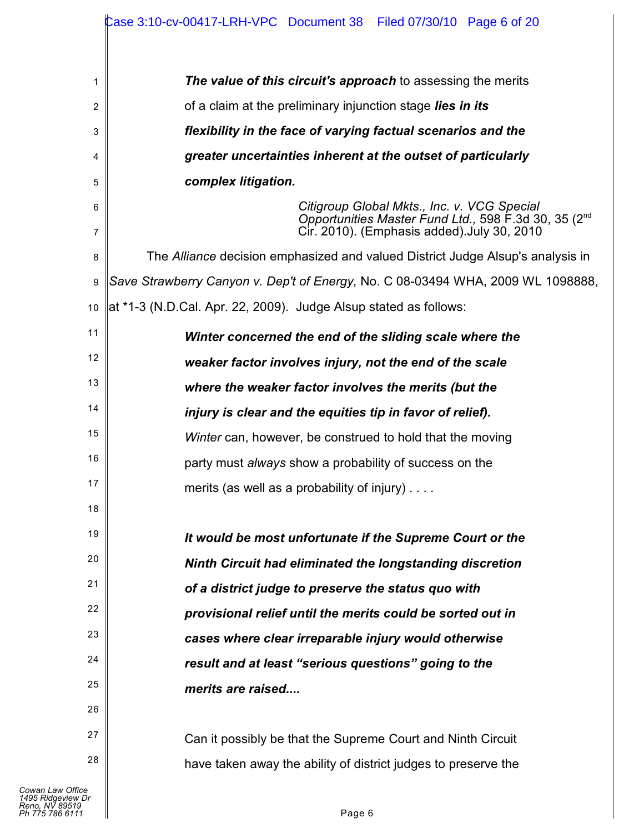|                     | Case 3:10-cv-00417-LRH-VPC Document 38    Filed 07/30/10    Page 6 of 20                                                                                       |  |  |  |  |  |  |  |  |
|---------------------|----------------------------------------------------------------------------------------------------------------------------------------------------------------|--|--|--|--|--|--|--|--|
| 1                   | The value of this circuit's approach to assessing the merits                                                                                                   |  |  |  |  |  |  |  |  |
| $\overline{2}$      | of a claim at the preliminary injunction stage lies in its                                                                                                     |  |  |  |  |  |  |  |  |
| 3                   | flexibility in the face of varying factual scenarios and the                                                                                                   |  |  |  |  |  |  |  |  |
| 4                   | greater uncertainties inherent at the outset of particularly                                                                                                   |  |  |  |  |  |  |  |  |
| 5                   | complex litigation.                                                                                                                                            |  |  |  |  |  |  |  |  |
| 6<br>$\overline{7}$ | Citigroup Global Mkts., Inc. v. VCG Special<br>Opportunities Master Fund Ltd., 598 F.3d 30, 35 (2 <sup>nd</sup><br>Cir. 2010). (Emphasis added). July 30, 2010 |  |  |  |  |  |  |  |  |
| 8                   | The Alliance decision emphasized and valued District Judge Alsup's analysis in                                                                                 |  |  |  |  |  |  |  |  |
| $\boldsymbol{9}$    | Save Strawberry Canyon v. Dep't of Energy, No. C 08-03494 WHA, 2009 WL 1098888,                                                                                |  |  |  |  |  |  |  |  |
| 10                  | at *1-3 (N.D.Cal. Apr. 22, 2009). Judge Alsup stated as follows:                                                                                               |  |  |  |  |  |  |  |  |
| 11                  | Winter concerned the end of the sliding scale where the                                                                                                        |  |  |  |  |  |  |  |  |
| 12                  | weaker factor involves injury, not the end of the scale                                                                                                        |  |  |  |  |  |  |  |  |
| 13                  | where the weaker factor involves the merits (but the                                                                                                           |  |  |  |  |  |  |  |  |
| 14                  | injury is clear and the equities tip in favor of relief).                                                                                                      |  |  |  |  |  |  |  |  |
| 15                  | Winter can, however, be construed to hold that the moving                                                                                                      |  |  |  |  |  |  |  |  |
| 16                  | party must always show a probability of success on the                                                                                                         |  |  |  |  |  |  |  |  |
| 17                  | merits (as well as a probability of injury)                                                                                                                    |  |  |  |  |  |  |  |  |
| 18                  |                                                                                                                                                                |  |  |  |  |  |  |  |  |
| 19                  | It would be most unfortunate if the Supreme Court or the                                                                                                       |  |  |  |  |  |  |  |  |
| 20                  | Ninth Circuit had eliminated the longstanding discretion                                                                                                       |  |  |  |  |  |  |  |  |
| 21                  | of a district judge to preserve the status quo with                                                                                                            |  |  |  |  |  |  |  |  |
| 22                  | provisional relief until the merits could be sorted out in                                                                                                     |  |  |  |  |  |  |  |  |
| 23                  | cases where clear irreparable injury would otherwise                                                                                                           |  |  |  |  |  |  |  |  |
| 24                  | result and at least "serious questions" going to the                                                                                                           |  |  |  |  |  |  |  |  |
| 25                  | merits are raised                                                                                                                                              |  |  |  |  |  |  |  |  |
| 26                  |                                                                                                                                                                |  |  |  |  |  |  |  |  |
| 27                  | Can it possibly be that the Supreme Court and Ninth Circuit                                                                                                    |  |  |  |  |  |  |  |  |
| 28                  | have taken away the ability of district judges to preserve the                                                                                                 |  |  |  |  |  |  |  |  |
|                     |                                                                                                                                                                |  |  |  |  |  |  |  |  |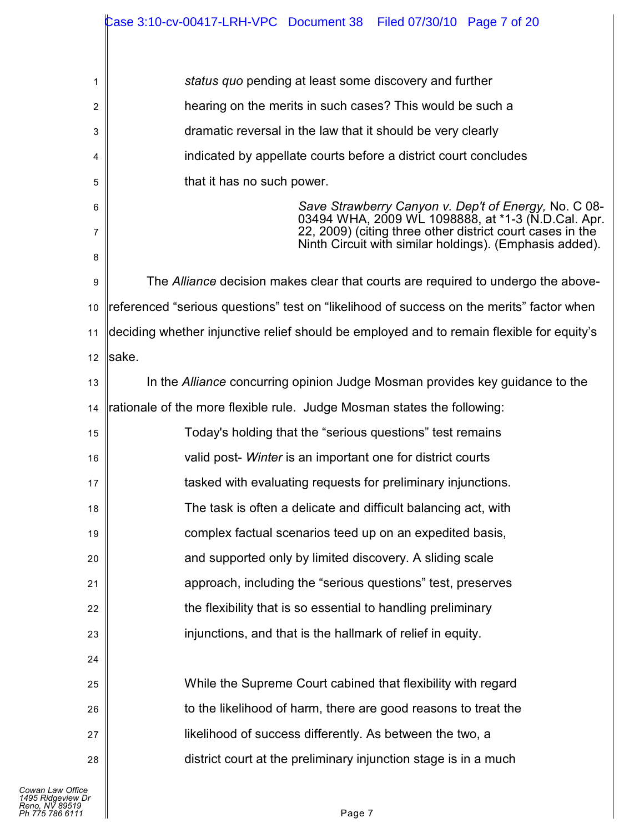|    | Case 3:10-cv-00417-LRH-VPC Document 38    Filed 07/30/10    Page 7 of 20                                             |  |  |  |  |  |  |  |  |  |
|----|----------------------------------------------------------------------------------------------------------------------|--|--|--|--|--|--|--|--|--|
|    |                                                                                                                      |  |  |  |  |  |  |  |  |  |
| 1  | status quo pending at least some discovery and further                                                               |  |  |  |  |  |  |  |  |  |
| 2  | hearing on the merits in such cases? This would be such a                                                            |  |  |  |  |  |  |  |  |  |
| 3  | dramatic reversal in the law that it should be very clearly                                                          |  |  |  |  |  |  |  |  |  |
| 4  | indicated by appellate courts before a district court concludes                                                      |  |  |  |  |  |  |  |  |  |
| 5  | that it has no such power.                                                                                           |  |  |  |  |  |  |  |  |  |
| 6  | Save Strawberry Canyon v. Dep't of Energy, No. C 08-03494 WHA, 2009 WL 1098888, at *1-3 (N.D.Cal. Apr.               |  |  |  |  |  |  |  |  |  |
| 7  | 22, 2009) (citing three other district court cases in the<br>Ninth Circuit with similar holdings). (Emphasis added). |  |  |  |  |  |  |  |  |  |
| 8  |                                                                                                                      |  |  |  |  |  |  |  |  |  |
| 9  | The Alliance decision makes clear that courts are required to undergo the above-                                     |  |  |  |  |  |  |  |  |  |
| 10 | referenced "serious questions" test on "likelihood of success on the merits" factor when                             |  |  |  |  |  |  |  |  |  |
| 11 | deciding whether injunctive relief should be employed and to remain flexible for equity's                            |  |  |  |  |  |  |  |  |  |
| 12 | sake.                                                                                                                |  |  |  |  |  |  |  |  |  |
| 13 | In the Alliance concurring opinion Judge Mosman provides key guidance to the                                         |  |  |  |  |  |  |  |  |  |
| 14 | rationale of the more flexible rule. Judge Mosman states the following:                                              |  |  |  |  |  |  |  |  |  |
| 15 | Today's holding that the "serious questions" test remains                                                            |  |  |  |  |  |  |  |  |  |
| 16 | valid post- Winter is an important one for district courts                                                           |  |  |  |  |  |  |  |  |  |
| 17 | tasked with evaluating requests for preliminary injunctions.                                                         |  |  |  |  |  |  |  |  |  |
| 18 | The task is often a delicate and difficult balancing act, with                                                       |  |  |  |  |  |  |  |  |  |
| 19 | complex factual scenarios teed up on an expedited basis,                                                             |  |  |  |  |  |  |  |  |  |
| 20 | and supported only by limited discovery. A sliding scale                                                             |  |  |  |  |  |  |  |  |  |
| 21 | approach, including the "serious questions" test, preserves                                                          |  |  |  |  |  |  |  |  |  |
| 22 | the flexibility that is so essential to handling preliminary                                                         |  |  |  |  |  |  |  |  |  |
| 23 | injunctions, and that is the hallmark of relief in equity.                                                           |  |  |  |  |  |  |  |  |  |
| 24 |                                                                                                                      |  |  |  |  |  |  |  |  |  |
| 25 | While the Supreme Court cabined that flexibility with regard                                                         |  |  |  |  |  |  |  |  |  |
| 26 | to the likelihood of harm, there are good reasons to treat the                                                       |  |  |  |  |  |  |  |  |  |
| 27 | likelihood of success differently. As between the two, a                                                             |  |  |  |  |  |  |  |  |  |
| 28 | district court at the preliminary injunction stage is in a much                                                      |  |  |  |  |  |  |  |  |  |
|    |                                                                                                                      |  |  |  |  |  |  |  |  |  |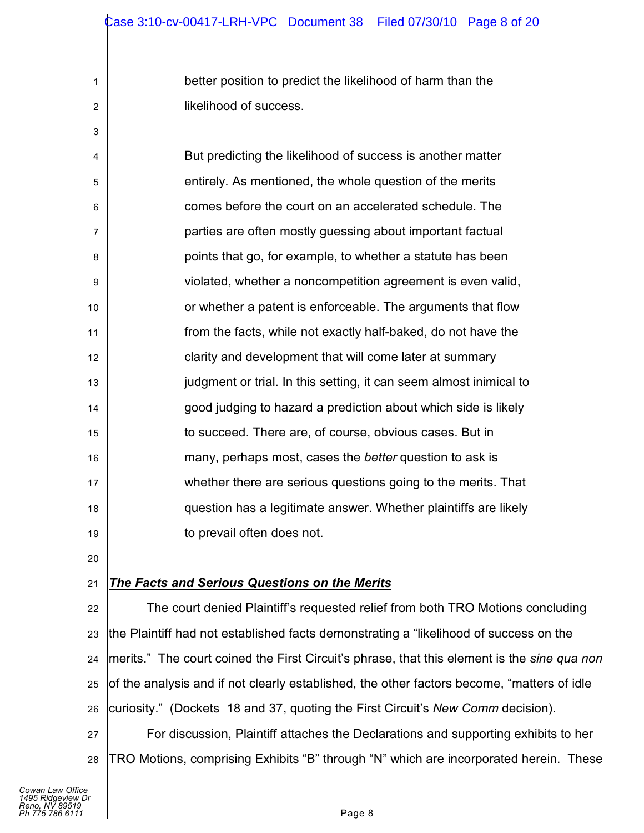better position to predict the likelihood of harm than the likelihood of success.

4 5 6 7 8 9 10 11 12 13 14 15 16 17 18 19 But predicting the likelihood of success is another matter entirely. As mentioned, the whole question of the merits comes before the court on an accelerated schedule. The parties are often mostly guessing about important factual points that go, for example, to whether a statute has been violated, whether a noncompetition agreement is even valid, or whether a patent is enforceable. The arguments that flow from the facts, while not exactly half-baked, do not have the clarity and development that will come later at summary judgment or trial. In this setting, it can seem almost inimical to good judging to hazard a prediction about which side is likely to succeed. There are, of course, obvious cases. But in many, perhaps most, cases the *better* question to ask is whether there are serious questions going to the merits. That question has a legitimate answer. Whether plaintiffs are likely to prevail often does not.

20

1

2

3

#### 21 *The Facts and Serious Questions on the Merits*

22 23 24 25 26 27 28 The court denied Plaintiff's requested relief from both TRO Motions concluding the Plaintiff had not established facts demonstrating a "likelihood of success on the merits." The court coined the First Circuit's phrase, that this element is the *sine qua non* of the analysis and if not clearly established, the other factors become, "matters of idle curiosity." (Dockets 18 and 37, quoting the First Circuit's *New Comm* decision). For discussion, Plaintiff attaches the Declarations and supporting exhibits to her TRO Motions, comprising Exhibits "B" through "N" which are incorporated herein. These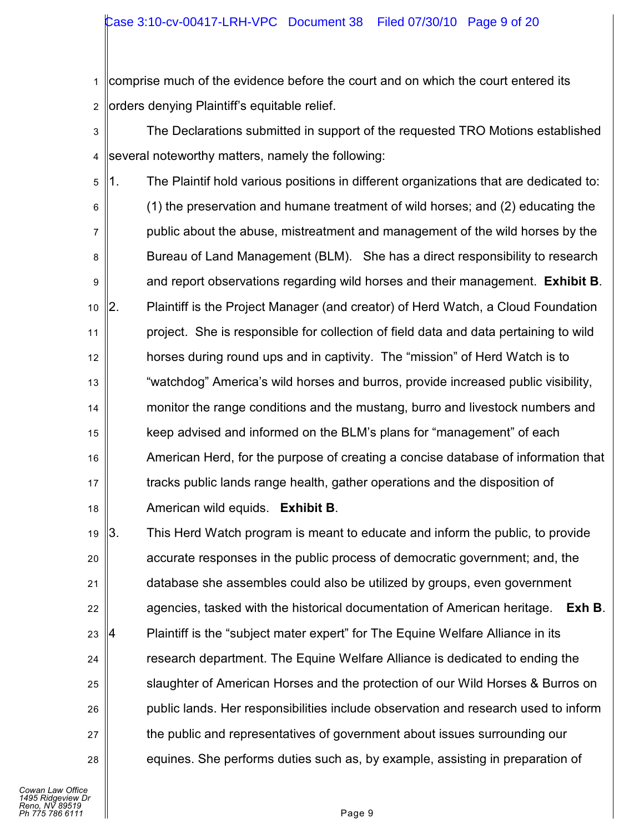1 2 comprise much of the evidence before the court and on which the court entered its orders denying Plaintiff's equitable relief.

- 3 4 The Declarations submitted in support of the requested TRO Motions established several noteworthy matters, namely the following:
- 5 6 7 8 9 10 11 12 13 14 15 16 17 18 1. The Plaintif hold various positions in different organizations that are dedicated to: (1) the preservation and humane treatment of wild horses; and (2) educating the public about the abuse, mistreatment and management of the wild horses by the Bureau of Land Management (BLM). She has a direct responsibility to research and report observations regarding wild horses and their management. **Exhibit B**. 2. Plaintiff is the Project Manager (and creator) of Herd Watch, a Cloud Foundation project. She is responsible for collection of field data and data pertaining to wild horses during round ups and in captivity. The "mission" of Herd Watch is to "watchdog" America's wild horses and burros, provide increased public visibility, monitor the range conditions and the mustang, burro and livestock numbers and keep advised and informed on the BLM's plans for "management" of each American Herd, for the purpose of creating a concise database of information that tracks public lands range health, gather operations and the disposition of American wild equids. **Exhibit B**.
- 19 20 21 22 23 24 25 26 27 28 3. This Herd Watch program is meant to educate and inform the public, to provide accurate responses in the public process of democratic government; and, the database she assembles could also be utilized by groups, even government agencies, tasked with the historical documentation of American heritage. **Exh B**. 4 Plaintiff is the "subject mater expert" for The Equine Welfare Alliance in its research department. The Equine Welfare Alliance is dedicated to ending the slaughter of American Horses and the protection of our Wild Horses & Burros on public lands. Her responsibilities include observation and research used to inform the public and representatives of government about issues surrounding our equines. She performs duties such as, by example, assisting in preparation of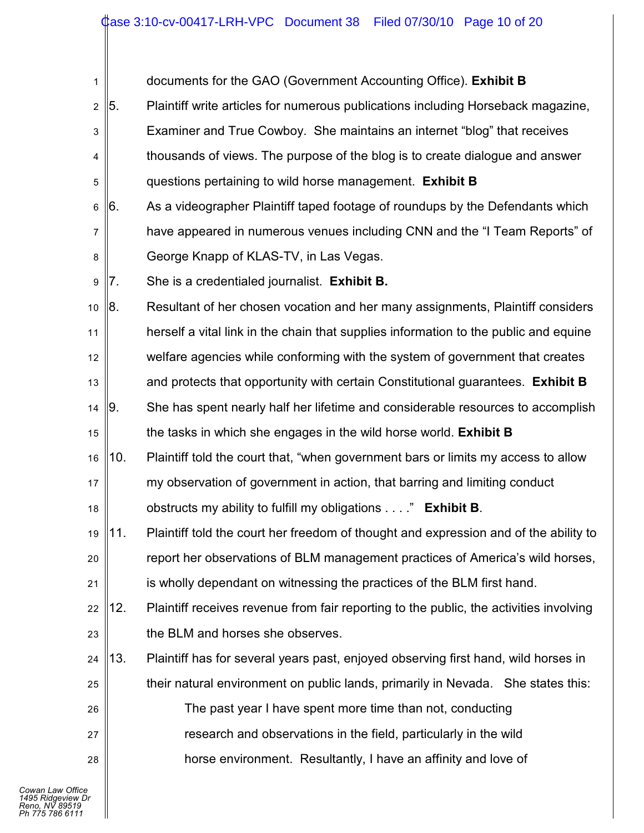| 1              |     | documents for the GAO (Government Accounting Office). Exhibit B                        |
|----------------|-----|----------------------------------------------------------------------------------------|
| $\overline{2}$ | 5.  | Plaintiff write articles for numerous publications including Horseback magazine,       |
| 3              |     | Examiner and True Cowboy. She maintains an internet "blog" that receives               |
| 4              |     | thousands of views. The purpose of the blog is to create dialogue and answer           |
| 5              |     | questions pertaining to wild horse management. Exhibit B                               |
| 6              | 6.  | As a videographer Plaintiff taped footage of roundups by the Defendants which          |
| $\overline{7}$ |     | have appeared in numerous venues including CNN and the "I Team Reports" of             |
| 8              |     | George Knapp of KLAS-TV, in Las Vegas.                                                 |
| 9              | 7.  | She is a credentialed journalist. Exhibit B.                                           |
| 10             | 8.  | Resultant of her chosen vocation and her many assignments, Plaintiff considers         |
| 11             |     | herself a vital link in the chain that supplies information to the public and equine   |
| 12             |     | welfare agencies while conforming with the system of government that creates           |
| 13             |     | and protects that opportunity with certain Constitutional guarantees. Exhibit B        |
| 14             | 9.  | She has spent nearly half her lifetime and considerable resources to accomplish        |
| 15             |     | the tasks in which she engages in the wild horse world. Exhibit B                      |
| 16             | 10. | Plaintiff told the court that, "when government bars or limits my access to allow      |
| 17             |     | my observation of government in action, that barring and limiting conduct              |
| 18             |     | obstructs my ability to fulfill my obligations" Exhibit B.                             |
| 19             | 11. | Plaintiff told the court her freedom of thought and expression and of the ability to   |
| 20             |     | report her observations of BLM management practices of America's wild horses,          |
| 21             |     | is wholly dependant on witnessing the practices of the BLM first hand.                 |
| 22             | 12. | Plaintiff receives revenue from fair reporting to the public, the activities involving |
| 23             |     | the BLM and horses she observes.                                                       |
| 24             | 13. | Plaintiff has for several years past, enjoyed observing first hand, wild horses in     |
| 25             |     | their natural environment on public lands, primarily in Nevada. She states this:       |
| 26             |     | The past year I have spent more time than not, conducting                              |
| 27             |     | research and observations in the field, particularly in the wild                       |
| 28             |     | horse environment. Resultantly, I have an affinity and love of                         |
|                |     |                                                                                        |

║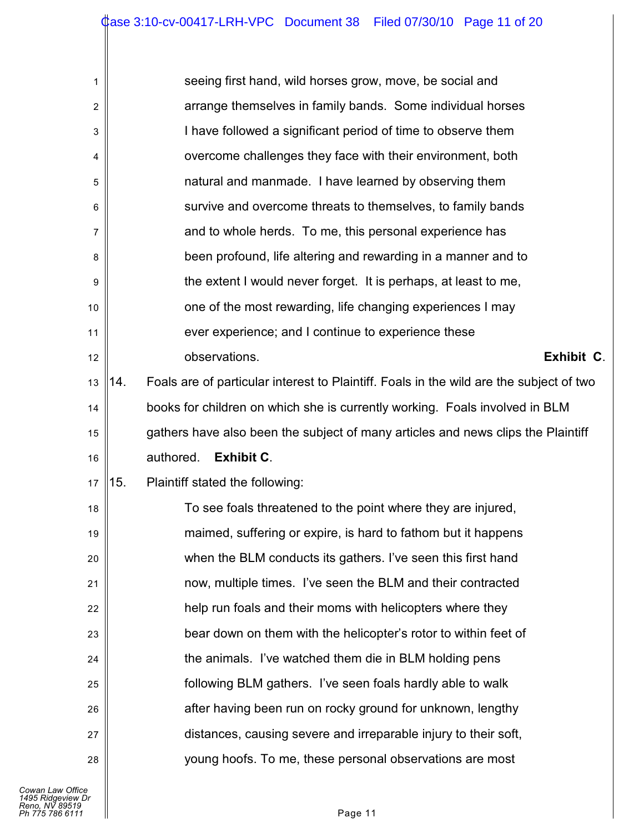| 1  | seeing first hand, wild horses grow, move, be social and                                       |  |  |  |  |  |  |  |
|----|------------------------------------------------------------------------------------------------|--|--|--|--|--|--|--|
| 2  | arrange themselves in family bands. Some individual horses                                     |  |  |  |  |  |  |  |
| 3  | I have followed a significant period of time to observe them                                   |  |  |  |  |  |  |  |
| 4  | overcome challenges they face with their environment, both                                     |  |  |  |  |  |  |  |
| 5  | natural and manmade. I have learned by observing them                                          |  |  |  |  |  |  |  |
| 6  | survive and overcome threats to themselves, to family bands                                    |  |  |  |  |  |  |  |
| 7  | and to whole herds. To me, this personal experience has                                        |  |  |  |  |  |  |  |
| 8  | been profound, life altering and rewarding in a manner and to                                  |  |  |  |  |  |  |  |
| 9  | the extent I would never forget. It is perhaps, at least to me,                                |  |  |  |  |  |  |  |
| 10 | one of the most rewarding, life changing experiences I may                                     |  |  |  |  |  |  |  |
| 11 | ever experience; and I continue to experience these                                            |  |  |  |  |  |  |  |
| 12 | observations.<br>Exhibit C.                                                                    |  |  |  |  |  |  |  |
| 13 | Foals are of particular interest to Plaintiff. Foals in the wild are the subject of two<br>14. |  |  |  |  |  |  |  |
| 14 | books for children on which she is currently working. Foals involved in BLM                    |  |  |  |  |  |  |  |
| 15 | gathers have also been the subject of many articles and news clips the Plaintiff               |  |  |  |  |  |  |  |
|    | authored.<br><b>Exhibit C.</b>                                                                 |  |  |  |  |  |  |  |
| 16 |                                                                                                |  |  |  |  |  |  |  |
| 17 | 15.<br>Plaintiff stated the following:                                                         |  |  |  |  |  |  |  |
| 18 | To see foals threatened to the point where they are injured,                                   |  |  |  |  |  |  |  |
| 19 | maimed, suffering or expire, is hard to fathom but it happens                                  |  |  |  |  |  |  |  |
| 20 | when the BLM conducts its gathers. I've seen this first hand                                   |  |  |  |  |  |  |  |
| 21 | now, multiple times. I've seen the BLM and their contracted                                    |  |  |  |  |  |  |  |
| 22 | help run foals and their moms with helicopters where they                                      |  |  |  |  |  |  |  |
| 23 | bear down on them with the helicopter's rotor to within feet of                                |  |  |  |  |  |  |  |
| 24 | the animals. I've watched them die in BLM holding pens                                         |  |  |  |  |  |  |  |
| 25 | following BLM gathers. I've seen foals hardly able to walk                                     |  |  |  |  |  |  |  |
| 26 | after having been run on rocky ground for unknown, lengthy                                     |  |  |  |  |  |  |  |
| 27 | distances, causing severe and irreparable injury to their soft,                                |  |  |  |  |  |  |  |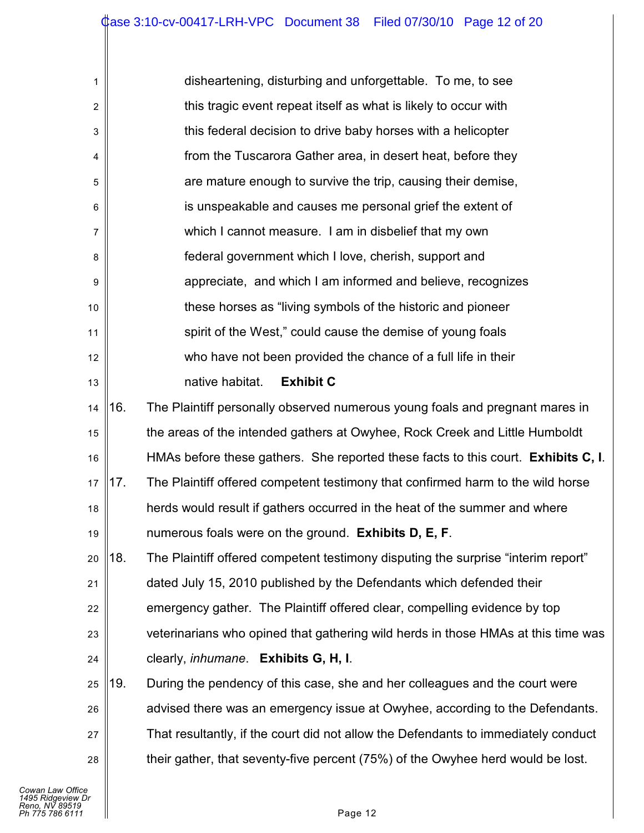| 1              |     | disheartening, disturbing and unforgettable. To me, to see                         |
|----------------|-----|------------------------------------------------------------------------------------|
| $\overline{c}$ |     | this tragic event repeat itself as what is likely to occur with                    |
| 3              |     | this federal decision to drive baby horses with a helicopter                       |
| 4              |     | from the Tuscarora Gather area, in desert heat, before they                        |
| 5              |     | are mature enough to survive the trip, causing their demise,                       |
| $\,6$          |     | is unspeakable and causes me personal grief the extent of                          |
| $\overline{7}$ |     | which I cannot measure. I am in disbelief that my own                              |
| 8              |     | federal government which I love, cherish, support and                              |
| 9              |     | appreciate, and which I am informed and believe, recognizes                        |
| $10$           |     | these horses as "living symbols of the historic and pioneer                        |
| 11             |     | spirit of the West," could cause the demise of young foals                         |
| 12             |     | who have not been provided the chance of a full life in their                      |
| 13             |     | native habitat.<br><b>Exhibit C</b>                                                |
| 14             | 16. | The Plaintiff personally observed numerous young foals and pregnant mares in       |
| 15             |     | the areas of the intended gathers at Owyhee, Rock Creek and Little Humboldt        |
| 16             |     | HMAs before these gathers. She reported these facts to this court. Exhibits C, I.  |
| 17             | 17. | The Plaintiff offered competent testimony that confirmed harm to the wild horse    |
| 18             |     | herds would result if gathers occurred in the heat of the summer and where         |
| 19             |     | numerous foals were on the ground. Exhibits D, E, F.                               |
| 20             | 18. | The Plaintiff offered competent testimony disputing the surprise "interim report"  |
| 21             |     | dated July 15, 2010 published by the Defendants which defended their               |
| 22             |     | emergency gather. The Plaintiff offered clear, compelling evidence by top          |
| 23             |     | veterinarians who opined that gathering wild herds in those HMAs at this time was  |
| 24             |     | clearly, <i>inhumane</i> . Exhibits G, H, I.                                       |
| 25             | 19. | During the pendency of this case, she and her colleagues and the court were        |
| 26             |     | advised there was an emergency issue at Owyhee, according to the Defendants.       |
| 27             |     | That resultantly, if the court did not allow the Defendants to immediately conduct |
| 28             |     | their gather, that seventy-five percent (75%) of the Owyhee herd would be lost.    |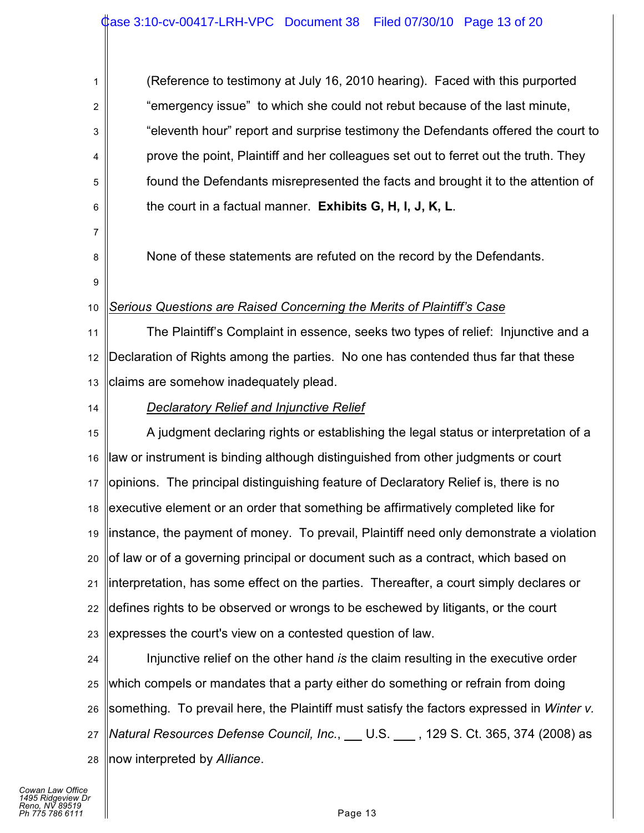1 2 3 4 5 6 7 8 9 10 11 12 13 14 15 16 17 18 (Reference to testimony at July 16, 2010 hearing). Faced with this purported "emergency issue" to which she could not rebut because of the last minute, "eleventh hour" report and surprise testimony the Defendants offered the court to prove the point, Plaintiff and her colleagues set out to ferret out the truth. They found the Defendants misrepresented the facts and brought it to the attention of the court in a factual manner. **Exhibits G, H, I, J, K, L**. None of these statements are refuted on the record by the Defendants. *Serious Questions are Raised Concerning the Merits of Plaintiff's Case* The Plaintiff's Complaint in essence, seeks two types of relief: Injunctive and a Declaration of Rights among the parties. No one has contended thus far that these claims are somehow inadequately plead. *Declaratory Relief and Injunctive Relief* A judgment declaring rights or establishing the legal status or interpretation of a law or instrument is binding although distinguished from other judgments or court opinions. The principal distinguishing feature of Declaratory Relief is, there is no executive element or an order that something be affirmatively completed like for

19 20 21 22 23 instance, the payment of money. To prevail, Plaintiff need only demonstrate a violation of law or of a governing principal or document such as a contract, which based on interpretation, has some effect on the parties. Thereafter, a court simply declares or defines rights to be observed or wrongs to be eschewed by litigants, or the court expresses the court's view on a contested question of law.

24 25 26 27 28 Injunctive relief on the other hand *is* the claim resulting in the executive order which compels or mandates that a party either do something or refrain from doing something. To prevail here, the Plaintiff must satisfy the factors expressed in *Winter v. Natural Resources Defense Council, Inc.*, U.S. , 129 S. Ct. 365, 374 (2008) as now interpreted by *Alliance*.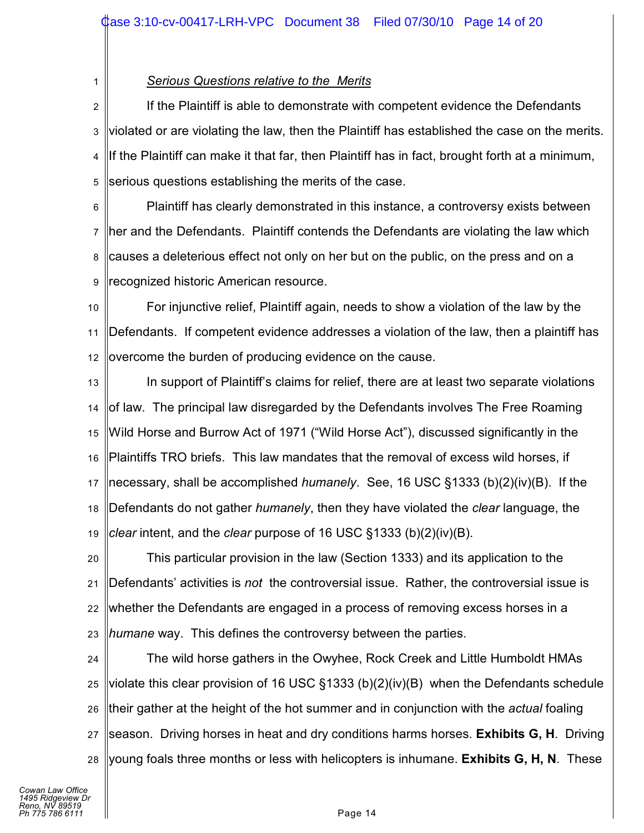*Serious Questions relative to the Merits*

1

2 3 4 5 If the Plaintiff is able to demonstrate with competent evidence the Defendants violated or are violating the law, then the Plaintiff has established the case on the merits. If the Plaintiff can make it that far, then Plaintiff has in fact, brought forth at a minimum, serious questions establishing the merits of the case.

6 7 8 9 Plaintiff has clearly demonstrated in this instance, a controversy exists between her and the Defendants. Plaintiff contends the Defendants are violating the law which causes a deleterious effect not only on her but on the public, on the press and on a recognized historic American resource.

10 11 12 For injunctive relief, Plaintiff again, needs to show a violation of the law by the Defendants. If competent evidence addresses a violation of the law, then a plaintiff has overcome the burden of producing evidence on the cause.

13 14 15 16 17 18 19 In support of Plaintiff's claims for relief, there are at least two separate violations of law. The principal law disregarded by the Defendants involves The Free Roaming Wild Horse and Burrow Act of 1971 ("Wild Horse Act"), discussed significantly in the Plaintiffs TRO briefs. This law mandates that the removal of excess wild horses, if necessary, shall be accomplished *humanely*. See, 16 USC §1333 (b)(2)(iv)(B). If the Defendants do not gather *humanely*, then they have violated the *clear* language, the *clear* intent, and the *clear* purpose of 16 USC §1333 (b)(2)(iv)(B).

20 21 22 23 This particular provision in the law (Section 1333) and its application to the Defendants' activities is *not* the controversial issue. Rather, the controversial issue is whether the Defendants are engaged in a process of removing excess horses in a *humane* way. This defines the controversy between the parties.

24 25 26 27 28 The wild horse gathers in the Owyhee, Rock Creek and Little Humboldt HMAs violate this clear provision of 16 USC §1333 (b)(2)(iv)(B) when the Defendants schedule their gather at the height of the hot summer and in conjunction with the *actual* foaling season. Driving horses in heat and dry conditions harms horses. **Exhibits G, H**. Driving young foals three months or less with helicopters is inhumane. **Exhibits G, H, N**. These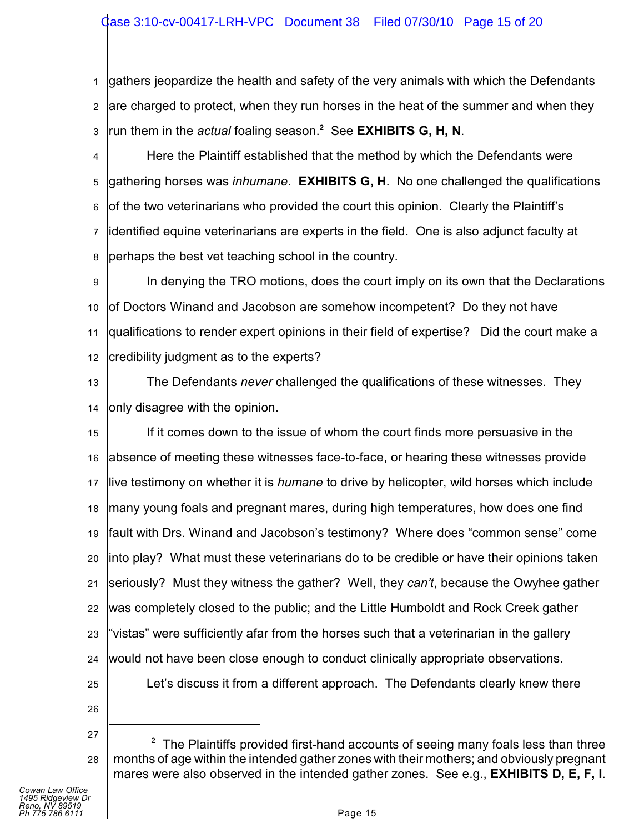# ase 3:10-cv-00417-LRH-VPC Document 38 Filed 07/30/10 Page 15 of 20

1 2 3 gathers jeopardize the health and safety of the very animals with which the Defendants are charged to protect, when they run horses in the heat of the summer and when they run them in the *actual* foaling season.<sup>2</sup> See EXHIBITS G, H, N.

4 5 6 7 8 Here the Plaintiff established that the method by which the Defendants were gathering horses was *inhumane*. **EXHIBITS G, H**. No one challenged the qualifications of the two veterinarians who provided the court this opinion. Clearly the Plaintiff's identified equine veterinarians are experts in the field. One is also adjunct faculty at perhaps the best vet teaching school in the country.

9 10 11 12 In denying the TRO motions, does the court imply on its own that the Declarations of Doctors Winand and Jacobson are somehow incompetent? Do they not have qualifications to render expert opinions in their field of expertise? Did the court make a credibility judgment as to the experts?

13 14 The Defendants *never* challenged the qualifications of these witnesses. They only disagree with the opinion.

15 16 17 18 19 20 21 22 23 24 25 If it comes down to the issue of whom the court finds more persuasive in the absence of meeting these witnesses face-to-face, or hearing these witnesses provide live testimony on whether it is *humane* to drive by helicopter, wild horses which include many young foals and pregnant mares, during high temperatures, how does one find fault with Drs. Winand and Jacobson's testimony? Where does "common sense" come into play? What must these veterinarians do to be credible or have their opinions taken seriously? Must they witness the gather? Well, they *can't*, because the Owyhee gather was completely closed to the public; and the Little Humboldt and Rock Creek gather "vistas" were sufficiently afar from the horses such that a veterinarian in the gallery would not have been close enough to conduct clinically appropriate observations. Let's discuss it from a different approach. The Defendants clearly knew there

- 
- 26
- 27 28  $2$  The Plaintiffs provided first-hand accounts of seeing many foals less than three months of age within the intended gather zones with their mothers; and obviously pregnant mares were also observed in the intended gather zones. See e.g., **EXHIBITS D, E, F, I**.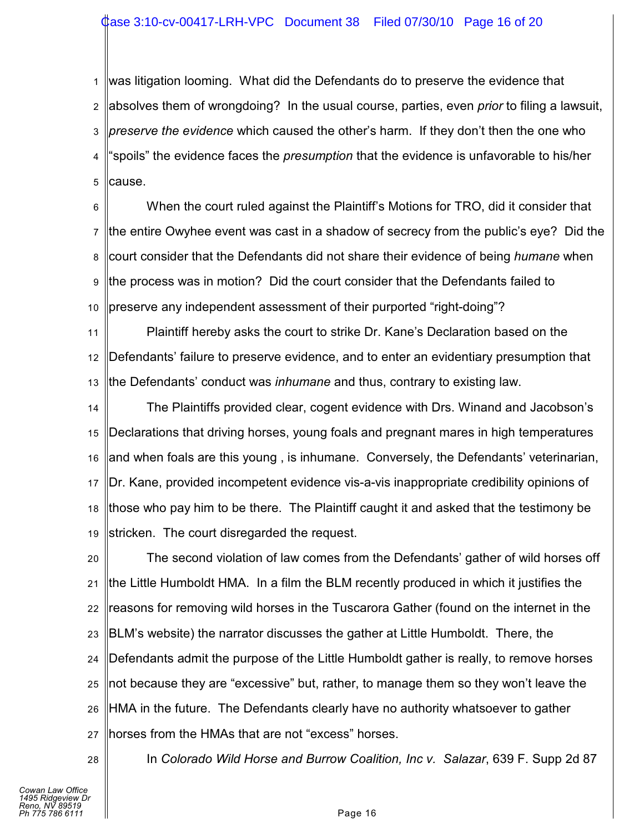1 2 3 4 5 was litigation looming. What did the Defendants do to preserve the evidence that absolves them of wrongdoing? In the usual course, parties, even *prior* to filing a lawsuit, *preserve the evidence* which caused the other's harm. If they don't then the one who "spoils" the evidence faces the *presumption* that the evidence is unfavorable to his/her cause.

6 7 8 9 10 When the court ruled against the Plaintiff's Motions for TRO, did it consider that the entire Owyhee event was cast in a shadow of secrecy from the public's eye? Did the court consider that the Defendants did not share their evidence of being *humane* when the process was in motion? Did the court consider that the Defendants failed to preserve any independent assessment of their purported "right-doing"?

11 12 13 Plaintiff hereby asks the court to strike Dr. Kane's Declaration based on the Defendants' failure to preserve evidence, and to enter an evidentiary presumption that the Defendants' conduct was *inhumane* and thus, contrary to existing law.

14 15 16 17 18 19 The Plaintiffs provided clear, cogent evidence with Drs. Winand and Jacobson's Declarations that driving horses, young foals and pregnant mares in high temperatures and when foals are this young , is inhumane. Conversely, the Defendants' veterinarian, Dr. Kane, provided incompetent evidence vis-a-vis inappropriate credibility opinions of those who pay him to be there. The Plaintiff caught it and asked that the testimony be stricken. The court disregarded the request.

20 21 22 23 24 25 26 27 The second violation of law comes from the Defendants' gather of wild horses off the Little Humboldt HMA. In a film the BLM recently produced in which it justifies the reasons for removing wild horses in the Tuscarora Gather (found on the internet in the BLM's website) the narrator discusses the gather at Little Humboldt. There, the Defendants admit the purpose of the Little Humboldt gather is really, to remove horses not because they are "excessive" but, rather, to manage them so they won't leave the HMA in the future. The Defendants clearly have no authority whatsoever to gather horses from the HMAs that are not "excess" horses.

28

In *Colorado Wild Horse and Burrow Coalition, Inc v. Salazar*, 639 F. Supp 2d 87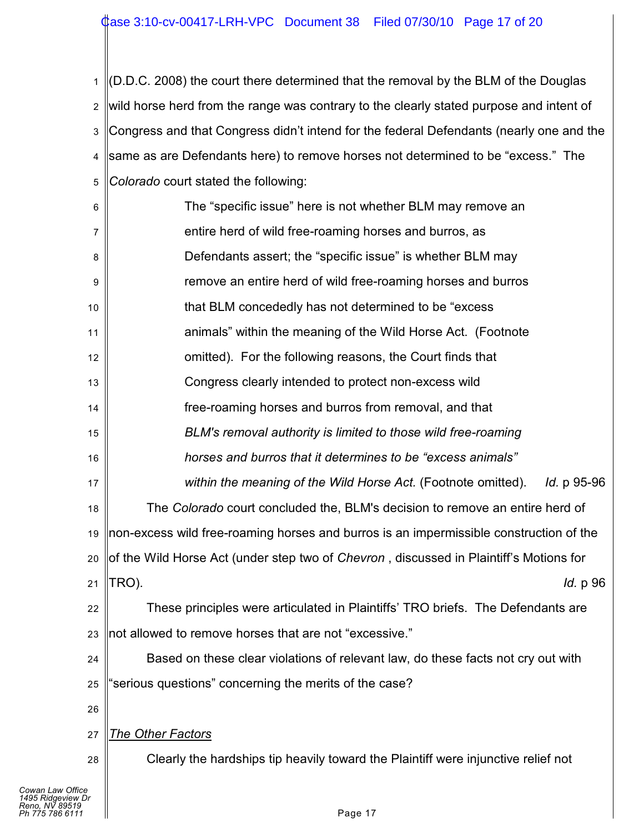1 2 3 4 5 *Colorado* court stated the following: (D.D.C. 2008) the court there determined that the removal by the BLM of the Douglas wild horse herd from the range was contrary to the clearly stated purpose and intent of Congress and that Congress didn't intend for the federal Defendants (nearly one and the same as are Defendants here) to remove horses not determined to be "excess." The

| 6                                                                          | The "specific issue" here is not whether BLM may remove an                             |  |  |  |  |  |
|----------------------------------------------------------------------------|----------------------------------------------------------------------------------------|--|--|--|--|--|
| $\overline{7}$                                                             | entire herd of wild free-roaming horses and burros, as                                 |  |  |  |  |  |
| 8                                                                          | Defendants assert; the "specific issue" is whether BLM may                             |  |  |  |  |  |
| 9                                                                          | remove an entire herd of wild free-roaming horses and burros                           |  |  |  |  |  |
| 10                                                                         | that BLM concededly has not determined to be "excess"                                  |  |  |  |  |  |
| 11                                                                         | animals" within the meaning of the Wild Horse Act. (Footnote                           |  |  |  |  |  |
| 12                                                                         | omitted). For the following reasons, the Court finds that                              |  |  |  |  |  |
| 13                                                                         | Congress clearly intended to protect non-excess wild                                   |  |  |  |  |  |
| 14                                                                         | free-roaming horses and burros from removal, and that                                  |  |  |  |  |  |
| 15                                                                         | BLM's removal authority is limited to those wild free-roaming                          |  |  |  |  |  |
| 16                                                                         | horses and burros that it determines to be "excess animals"                            |  |  |  |  |  |
| 17                                                                         | within the meaning of the Wild Horse Act. (Footnote omitted).<br><i>ld.</i> p 95-96    |  |  |  |  |  |
| 18                                                                         | The Colorado court concluded the, BLM's decision to remove an entire herd of           |  |  |  |  |  |
| 19                                                                         | non-excess wild free-roaming horses and burros is an impermissible construction of the |  |  |  |  |  |
| 20                                                                         | of the Wild Horse Act (under step two of Chevron, discussed in Plaintiff's Motions for |  |  |  |  |  |
| 21                                                                         | TRO).<br><i>ld.</i> p 96                                                               |  |  |  |  |  |
| 22                                                                         | These principles were articulated in Plaintiffs' TRO briefs. The Defendants are        |  |  |  |  |  |
| 23                                                                         | not allowed to remove horses that are not "excessive."                                 |  |  |  |  |  |
| 24                                                                         | Based on these clear violations of relevant law, do these facts not cry out with       |  |  |  |  |  |
| 25                                                                         | "serious questions" concerning the merits of the case?                                 |  |  |  |  |  |
| 26                                                                         |                                                                                        |  |  |  |  |  |
| 27                                                                         | <b>The Other Factors</b>                                                               |  |  |  |  |  |
| 28                                                                         | Clearly the hardships tip heavily toward the Plaintiff were injunctive relief not      |  |  |  |  |  |
| Cowan Law Office<br>1495 Ridgeview Dr<br>Reno. NV 89519<br>Ph 775 786 6111 | Page 17                                                                                |  |  |  |  |  |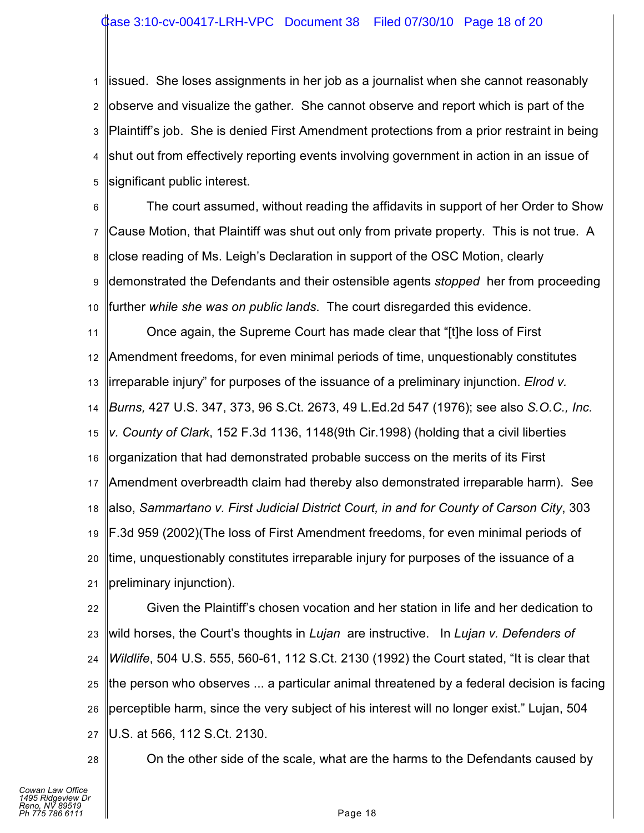1 2 3 4 5 issued. She loses assignments in her job as a journalist when she cannot reasonably observe and visualize the gather. She cannot observe and report which is part of the Plaintiff's job. She is denied First Amendment protections from a prior restraint in being shut out from effectively reporting events involving government in action in an issue of significant public interest.

6 7 8 9 10 The court assumed, without reading the affidavits in support of her Order to Show Cause Motion, that Plaintiff was shut out only from private property. This is not true. A close reading of Ms. Leigh's Declaration in support of the OSC Motion, clearly demonstrated the Defendants and their ostensible agents *stopped* her from proceeding further *while she was on public lands*. The court disregarded this evidence.

11 12 13 14 15 16 17 18 19 20 21 Once again, the Supreme Court has made clear that "[t]he loss of First Amendment freedoms, for even minimal periods of time, unquestionably constitutes irreparable injury" for purposes of the issuance of a preliminary injunction. *Elrod v. Burns,* 427 U.S. 347, 373, 96 S.Ct. 2673, 49 L.Ed.2d 547 (1976); see also *S.O.C., Inc. v. County of Clark*, 152 F.3d 1136, 1148(9th Cir.1998) (holding that a civil liberties organization that had demonstrated probable success on the merits of its First Amendment overbreadth claim had thereby also demonstrated irreparable harm). See also, *Sammartano v. First Judicial District Court, in and for County of Carson City*, 303 F.3d 959 (2002)(The loss of First Amendment freedoms, for even minimal periods of time, unquestionably constitutes irreparable injury for purposes of the issuance of a preliminary injunction).

22 23 24 25 26 27 Given the Plaintiff's chosen vocation and her station in life and her dedication to wild horses, the Court's thoughts in *Lujan* are instructive. In *Lujan v. Defenders of Wildlife*, 504 U.S. 555, 560-61, 112 S.Ct. 2130 (1992) the Court stated, "It is clear that the person who observes ... a particular animal threatened by a federal decision is facing perceptible harm, since the very subject of his interest will no longer exist." Lujan, 504 U.S. at 566, 112 S.Ct. 2130.

28

On the other side of the scale, what are the harms to the Defendants caused by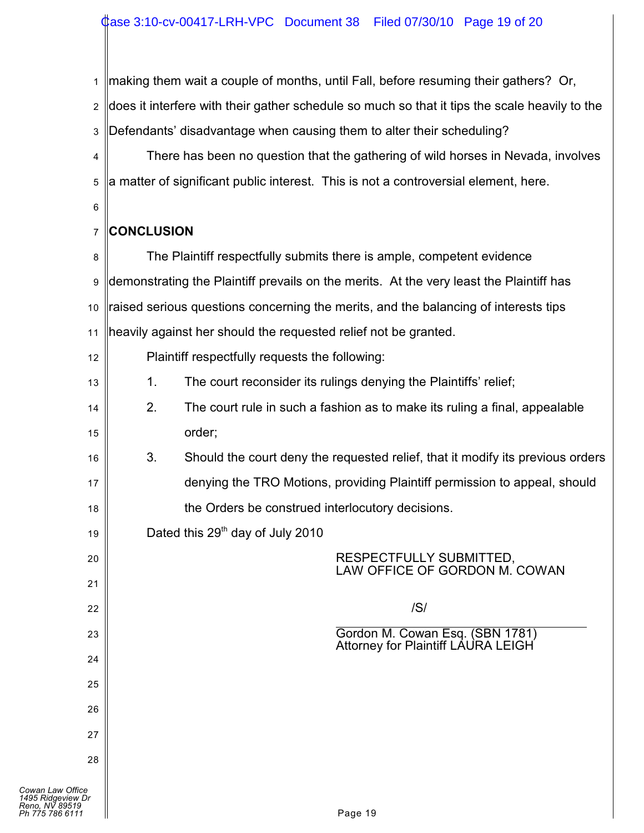1 making them wait a couple of months, until Fall, before resuming their gathers? Or,

2 does it interfere with their gather schedule so much so that it tips the scale heavily to the

3 Defendants' disadvantage when causing them to alter their scheduling?

4 5 There has been no question that the gathering of wild horses in Nevada, involves a matter of significant public interest. This is not a controversial element, here.

6

13

19

20

21

22

23

24

25

26

27

28

### 7 **CONCLUSION**

8 9 10 11 The Plaintiff respectfully submits there is ample, competent evidence demonstrating the Plaintiff prevails on the merits. At the very least the Plaintiff has raised serious questions concerning the merits, and the balancing of interests tips heavily against her should the requested relief not be granted.

| 12 | Plaintiff respectfully requests the following: |
|----|------------------------------------------------|
|----|------------------------------------------------|

|  | The court reconsider its rulings denying the Plaintiffs' relief; |  |  |
|--|------------------------------------------------------------------|--|--|
|  |                                                                  |  |  |

- 14 15 2. The court rule in such a fashion as to make its ruling a final, appealable order;
- 16 17 18 3. Should the court deny the requested relief, that it modify its previous orders denying the TRO Motions, providing Plaintiff permission to appeal, should the Orders be construed interlocutory decisions.

Dated this  $29<sup>th</sup>$  day of July 2010

## RESPECTFULLY SUBMITTED, LAW OFFICE OF GORDON M. COWAN

/S/

 $\overline{a}$ Gordon M. Cowan Esq. (SBN 1781) Attorney for Plaintiff LAURA LEIGH